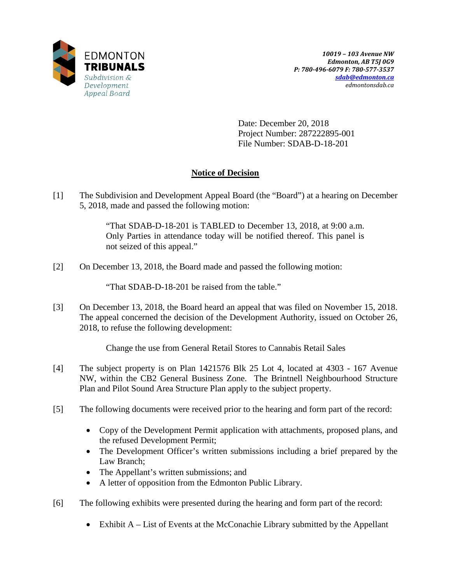

Date: December 20, 2018 Project Number: 287222895-001 File Number: SDAB-D-18-201

# **Notice of Decision**

[1] The Subdivision and Development Appeal Board (the "Board") at a hearing on December 5, 2018, made and passed the following motion:

> "That SDAB-D-18-201 is TABLED to December 13, 2018, at 9:00 a.m. Only Parties in attendance today will be notified thereof. This panel is not seized of this appeal."

[2] On December 13, 2018, the Board made and passed the following motion:

"That SDAB-D-18-201 be raised from the table."

[3] On December 13, 2018, the Board heard an appeal that was filed on November 15, 2018. The appeal concerned the decision of the Development Authority, issued on October 26, 2018, to refuse the following development:

Change the use from General Retail Stores to Cannabis Retail Sales

- [4] The subject property is on Plan 1421576 Blk 25 Lot 4, located at 4303 167 Avenue NW, within the CB2 General Business Zone. The Brintnell Neighbourhood Structure Plan and Pilot Sound Area Structure Plan apply to the subject property.
- [5] The following documents were received prior to the hearing and form part of the record:
	- Copy of the Development Permit application with attachments, proposed plans, and the refused Development Permit;
	- The Development Officer's written submissions including a brief prepared by the Law Branch;
	- The Appellant's written submissions; and
	- A letter of opposition from the Edmonton Public Library.
- [6] The following exhibits were presented during the hearing and form part of the record:
	- Exhibit A List of Events at the McConachie Library submitted by the Appellant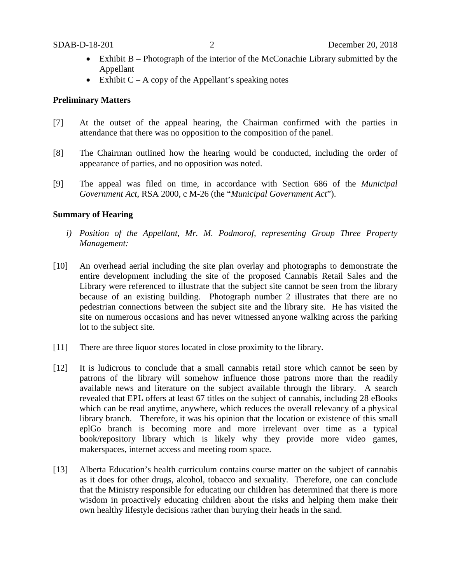- Exhibit B Photograph of the interior of the McConachie Library submitted by the Appellant
- Exhibit  $C A$  copy of the Appellant's speaking notes

# **Preliminary Matters**

- [7] At the outset of the appeal hearing, the Chairman confirmed with the parties in attendance that there was no opposition to the composition of the panel.
- [8] The Chairman outlined how the hearing would be conducted, including the order of appearance of parties, and no opposition was noted.
- [9] The appeal was filed on time, in accordance with Section 686 of the *Municipal Government Act*, RSA 2000, c M-26 (the "*Municipal Government Act*").

# **Summary of Hearing**

- *i) Position of the Appellant, Mr. M. Podmorof, representing Group Three Property Management:*
- [10] An overhead aerial including the site plan overlay and photographs to demonstrate the entire development including the site of the proposed Cannabis Retail Sales and the Library were referenced to illustrate that the subject site cannot be seen from the library because of an existing building. Photograph number 2 illustrates that there are no pedestrian connections between the subject site and the library site. He has visited the site on numerous occasions and has never witnessed anyone walking across the parking lot to the subject site.
- [11] There are three liquor stores located in close proximity to the library.
- [12] It is ludicrous to conclude that a small cannabis retail store which cannot be seen by patrons of the library will somehow influence those patrons more than the readily available news and literature on the subject available through the library. A search revealed that EPL offers at least 67 titles on the subject of cannabis, including 28 eBooks which can be read anytime, anywhere, which reduces the overall relevancy of a physical library branch. Therefore, it was his opinion that the location or existence of this small eplGo branch is becoming more and more irrelevant over time as a typical book/repository library which is likely why they provide more video games, makerspaces, internet access and meeting room space.
- [13] Alberta Education's health curriculum contains course matter on the subject of cannabis as it does for other drugs, alcohol, tobacco and sexuality. Therefore, one can conclude that the Ministry responsible for educating our children has determined that there is more wisdom in proactively educating children about the risks and helping them make their own healthy lifestyle decisions rather than burying their heads in the sand.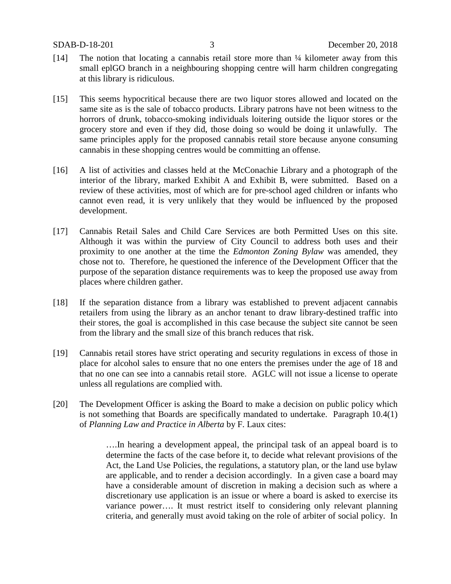- [14] The notion that locating a cannabis retail store more than ¼ kilometer away from this small eplGO branch in a neighbouring shopping centre will harm children congregating at this library is ridiculous.
- [15] This seems hypocritical because there are two liquor stores allowed and located on the same site as is the sale of tobacco products. Library patrons have not been witness to the horrors of drunk, tobacco-smoking individuals loitering outside the liquor stores or the grocery store and even if they did, those doing so would be doing it unlawfully. The same principles apply for the proposed cannabis retail store because anyone consuming cannabis in these shopping centres would be committing an offense.
- [16] A list of activities and classes held at the McConachie Library and a photograph of the interior of the library, marked Exhibit A and Exhibit B, were submitted. Based on a review of these activities, most of which are for pre-school aged children or infants who cannot even read, it is very unlikely that they would be influenced by the proposed development.
- [17] Cannabis Retail Sales and Child Care Services are both Permitted Uses on this site. Although it was within the purview of City Council to address both uses and their proximity to one another at the time the *Edmonton Zoning Bylaw* was amended, they chose not to. Therefore, he questioned the inference of the Development Officer that the purpose of the separation distance requirements was to keep the proposed use away from places where children gather.
- [18] If the separation distance from a library was established to prevent adjacent cannabis retailers from using the library as an anchor tenant to draw library-destined traffic into their stores, the goal is accomplished in this case because the subject site cannot be seen from the library and the small size of this branch reduces that risk.
- [19] Cannabis retail stores have strict operating and security regulations in excess of those in place for alcohol sales to ensure that no one enters the premises under the age of 18 and that no one can see into a cannabis retail store. AGLC will not issue a license to operate unless all regulations are complied with.
- [20] The Development Officer is asking the Board to make a decision on public policy which is not something that Boards are specifically mandated to undertake. Paragraph 10.4(1) of *Planning Law and Practice in Alberta* by F. Laux cites:

….In hearing a development appeal, the principal task of an appeal board is to determine the facts of the case before it, to decide what relevant provisions of the Act, the Land Use Policies, the regulations, a statutory plan, or the land use bylaw are applicable, and to render a decision accordingly. In a given case a board may have a considerable amount of discretion in making a decision such as where a discretionary use application is an issue or where a board is asked to exercise its variance power…. It must restrict itself to considering only relevant planning criteria, and generally must avoid taking on the role of arbiter of social policy. In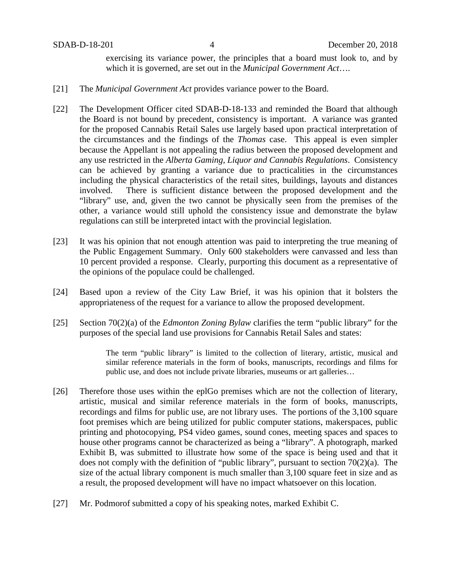exercising its variance power, the principles that a board must look to, and by which it is governed, are set out in the *Municipal Government Act*….

- [21] The *Municipal Government Act* provides variance power to the Board.
- [22] The Development Officer cited SDAB-D-18-133 and reminded the Board that although the Board is not bound by precedent, consistency is important. A variance was granted for the proposed Cannabis Retail Sales use largely based upon practical interpretation of the circumstances and the findings of the *Thomas* case. This appeal is even simpler because the Appellant is not appealing the radius between the proposed development and any use restricted in the *Alberta Gaming, Liquor and Cannabis Regulations*. Consistency can be achieved by granting a variance due to practicalities in the circumstances including the physical characteristics of the retail sites, buildings, layouts and distances involved. There is sufficient distance between the proposed development and the "library" use, and, given the two cannot be physically seen from the premises of the other, a variance would still uphold the consistency issue and demonstrate the bylaw regulations can still be interpreted intact with the provincial legislation.
- [23] It was his opinion that not enough attention was paid to interpreting the true meaning of the Public Engagement Summary. Only 600 stakeholders were canvassed and less than 10 percent provided a response. Clearly, purporting this document as a representative of the opinions of the populace could be challenged.
- [24] Based upon a review of the City Law Brief, it was his opinion that it bolsters the appropriateness of the request for a variance to allow the proposed development.
- [25] Section 70(2)(a) of the *Edmonton Zoning Bylaw* clarifies the term "public library" for the purposes of the special land use provisions for Cannabis Retail Sales and states:

The term "public library" is limited to the collection of literary, artistic, musical and similar reference materials in the form of books, manuscripts, recordings and films for public use, and does not include private libraries, museums or art galleries…

- [26] Therefore those uses within the eplGo premises which are not the collection of literary, artistic, musical and similar reference materials in the form of books, manuscripts, recordings and films for public use, are not library uses. The portions of the 3,100 square foot premises which are being utilized for public computer stations, makerspaces, public printing and photocopying, PS4 video games, sound cones, meeting spaces and spaces to house other programs cannot be characterized as being a "library". A photograph, marked Exhibit B, was submitted to illustrate how some of the space is being used and that it does not comply with the definition of "public library", pursuant to section 70(2)(a). The size of the actual library component is much smaller than 3,100 square feet in size and as a result, the proposed development will have no impact whatsoever on this location.
- [27] Mr. Podmorof submitted a copy of his speaking notes, marked Exhibit C.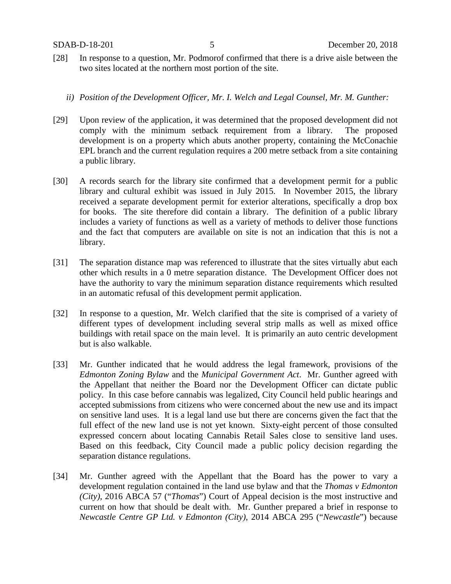- [28] In response to a question, Mr. Podmorof confirmed that there is a drive aisle between the two sites located at the northern most portion of the site.
	- *ii) Position of the Development Officer, Mr. I. Welch and Legal Counsel, Mr. M. Gunther:*
- [29] Upon review of the application, it was determined that the proposed development did not comply with the minimum setback requirement from a library. The proposed development is on a property which abuts another property, containing the McConachie EPL branch and the current regulation requires a 200 metre setback from a site containing a public library.
- [30] A records search for the library site confirmed that a development permit for a public library and cultural exhibit was issued in July 2015. In November 2015, the library received a separate development permit for exterior alterations, specifically a drop box for books. The site therefore did contain a library. The definition of a public library includes a variety of functions as well as a variety of methods to deliver those functions and the fact that computers are available on site is not an indication that this is not a library.
- [31] The separation distance map was referenced to illustrate that the sites virtually abut each other which results in a 0 metre separation distance. The Development Officer does not have the authority to vary the minimum separation distance requirements which resulted in an automatic refusal of this development permit application.
- [32] In response to a question, Mr. Welch clarified that the site is comprised of a variety of different types of development including several strip malls as well as mixed office buildings with retail space on the main level. It is primarily an auto centric development but is also walkable.
- [33] Mr. Gunther indicated that he would address the legal framework, provisions of the *Edmonton Zoning Bylaw* and the *Municipal Government Act*. Mr. Gunther agreed with the Appellant that neither the Board nor the Development Officer can dictate public policy. In this case before cannabis was legalized, City Council held public hearings and accepted submissions from citizens who were concerned about the new use and its impact on sensitive land uses. It is a legal land use but there are concerns given the fact that the full effect of the new land use is not yet known. Sixty-eight percent of those consulted expressed concern about locating Cannabis Retail Sales close to sensitive land uses. Based on this feedback, City Council made a public policy decision regarding the separation distance regulations.
- [34] Mr. Gunther agreed with the Appellant that the Board has the power to vary a development regulation contained in the land use bylaw and that the *Thomas v Edmonton (City)*, 2016 ABCA 57 ("*Thomas*") Court of Appeal decision is the most instructive and current on how that should be dealt with. Mr. Gunther prepared a brief in response to *Newcastle Centre GP Ltd. v Edmonton (City)*, 2014 ABCA 295 ("*Newcastle*") because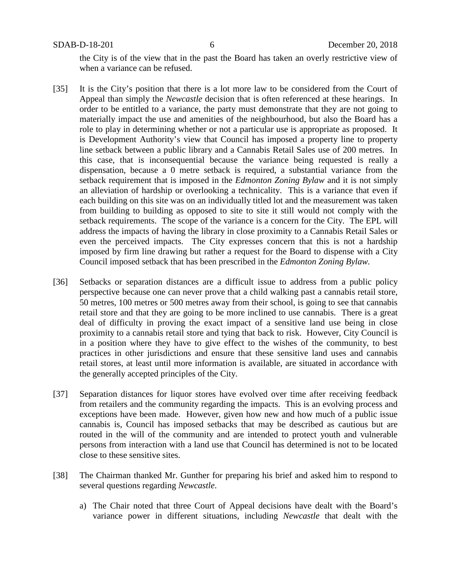the City is of the view that in the past the Board has taken an overly restrictive view of when a variance can be refused.

- [35] It is the City's position that there is a lot more law to be considered from the Court of Appeal than simply the *Newcastle* decision that is often referenced at these hearings. In order to be entitled to a variance, the party must demonstrate that they are not going to materially impact the use and amenities of the neighbourhood, but also the Board has a role to play in determining whether or not a particular use is appropriate as proposed. It is Development Authority's view that Council has imposed a property line to property line setback between a public library and a Cannabis Retail Sales use of 200 metres. In this case, that is inconsequential because the variance being requested is really a dispensation, because a 0 metre setback is required, a substantial variance from the setback requirement that is imposed in the *Edmonton Zoning Bylaw* and it is not simply an alleviation of hardship or overlooking a technicality. This is a variance that even if each building on this site was on an individually titled lot and the measurement was taken from building to building as opposed to site to site it still would not comply with the setback requirements. The scope of the variance is a concern for the City. The EPL will address the impacts of having the library in close proximity to a Cannabis Retail Sales or even the perceived impacts. The City expresses concern that this is not a hardship imposed by firm line drawing but rather a request for the Board to dispense with a City Council imposed setback that has been prescribed in the *Edmonton Zoning Bylaw.*
- [36] Setbacks or separation distances are a difficult issue to address from a public policy perspective because one can never prove that a child walking past a cannabis retail store, 50 metres, 100 metres or 500 metres away from their school, is going to see that cannabis retail store and that they are going to be more inclined to use cannabis. There is a great deal of difficulty in proving the exact impact of a sensitive land use being in close proximity to a cannabis retail store and tying that back to risk. However, City Council is in a position where they have to give effect to the wishes of the community, to best practices in other jurisdictions and ensure that these sensitive land uses and cannabis retail stores, at least until more information is available, are situated in accordance with the generally accepted principles of the City.
- [37] Separation distances for liquor stores have evolved over time after receiving feedback from retailers and the community regarding the impacts. This is an evolving process and exceptions have been made. However, given how new and how much of a public issue cannabis is, Council has imposed setbacks that may be described as cautious but are routed in the will of the community and are intended to protect youth and vulnerable persons from interaction with a land use that Council has determined is not to be located close to these sensitive sites.
- [38] The Chairman thanked Mr. Gunther for preparing his brief and asked him to respond to several questions regarding *Newcastle*.
	- a) The Chair noted that three Court of Appeal decisions have dealt with the Board's variance power in different situations, including *Newcastle* that dealt with the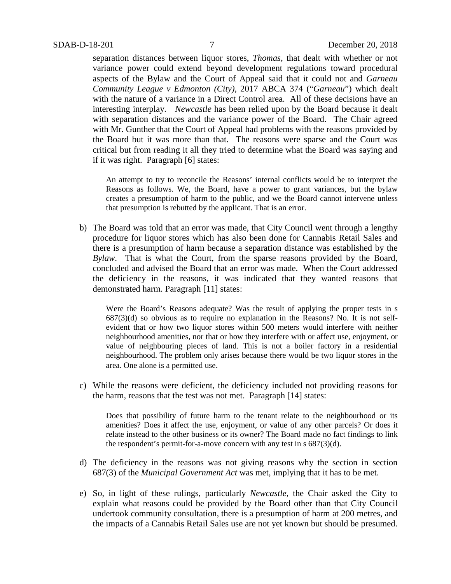separation distances between liquor stores, *Thomas*, that dealt with whether or not variance power could extend beyond development regulations toward procedural aspects of the Bylaw and the Court of Appeal said that it could not and *Garneau Community League v Edmonton (City),* 2017 ABCA 374 ("*Garneau*") which dealt with the nature of a variance in a Direct Control area. All of these decisions have an interesting interplay. *Newcastle* has been relied upon by the Board because it dealt with separation distances and the variance power of the Board. The Chair agreed with Mr. Gunther that the Court of Appeal had problems with the reasons provided by the Board but it was more than that. The reasons were sparse and the Court was critical but from reading it all they tried to determine what the Board was saying and if it was right. Paragraph [6] states:

An attempt to try to reconcile the Reasons' internal conflicts would be to interpret the Reasons as follows. We, the Board, have a power to grant variances, but the bylaw creates a presumption of harm to the public, and we the Board cannot intervene unless that presumption is rebutted by the applicant. That is an error.

b) The Board was told that an error was made, that City Council went through a lengthy procedure for liquor stores which has also been done for Cannabis Retail Sales and there is a presumption of harm because a separation distance was established by the *Bylaw*. That is what the Court, from the sparse reasons provided by the Board, concluded and advised the Board that an error was made. When the Court addressed the deficiency in the reasons, it was indicated that they wanted reasons that demonstrated harm. Paragraph [11] states:

Were the Board's Reasons adequate? Was the result of applying the proper tests in s  $687(3)(d)$  so obvious as to require no explanation in the Reasons? No. It is not selfevident that or how two liquor stores within 500 meters would interfere with neither neighbourhood amenities, nor that or how they interfere with or affect use, enjoyment, or value of neighbouring pieces of land. This is not a boiler factory in a residential neighbourhood. The problem only arises because there would be two liquor stores in the area. One alone is a permitted use.

c) While the reasons were deficient, the deficiency included not providing reasons for the harm, reasons that the test was not met. Paragraph [14] states:

Does that possibility of future harm to the tenant relate to the neighbourhood or its amenities? Does it affect the use, enjoyment, or value of any other parcels? Or does it relate instead to the other business or its owner? The Board made no fact findings to link the respondent's permit-for-a-move concern with any test in s 687(3)(d).

- d) The deficiency in the reasons was not giving reasons why the section in section 687(3) of the *Municipal Government Act* was met, implying that it has to be met.
- e) So, in light of these rulings, particularly *Newcastle*, the Chair asked the City to explain what reasons could be provided by the Board other than that City Council undertook community consultation, there is a presumption of harm at 200 metres, and the impacts of a Cannabis Retail Sales use are not yet known but should be presumed.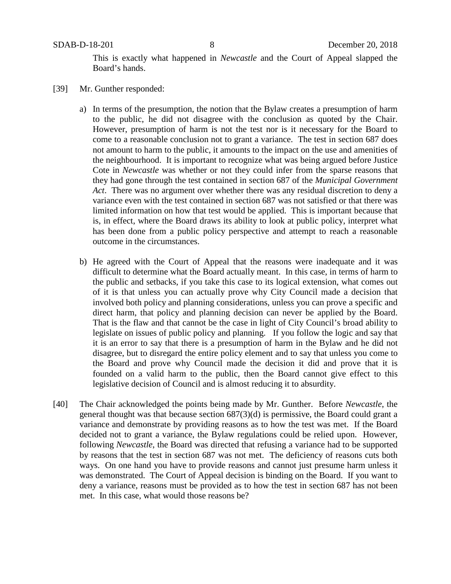This is exactly what happened in *Newcastle* and the Court of Appeal slapped the Board's hands.

- [39] Mr. Gunther responded:
	- a) In terms of the presumption, the notion that the Bylaw creates a presumption of harm to the public, he did not disagree with the conclusion as quoted by the Chair. However, presumption of harm is not the test nor is it necessary for the Board to come to a reasonable conclusion not to grant a variance. The test in section 687 does not amount to harm to the public, it amounts to the impact on the use and amenities of the neighbourhood. It is important to recognize what was being argued before Justice Cote in *Newcastle* was whether or not they could infer from the sparse reasons that they had gone through the test contained in section 687 of the *Municipal Government Act*. There was no argument over whether there was any residual discretion to deny a variance even with the test contained in section 687 was not satisfied or that there was limited information on how that test would be applied. This is important because that is, in effect, where the Board draws its ability to look at public policy, interpret what has been done from a public policy perspective and attempt to reach a reasonable outcome in the circumstances.
	- b) He agreed with the Court of Appeal that the reasons were inadequate and it was difficult to determine what the Board actually meant. In this case, in terms of harm to the public and setbacks, if you take this case to its logical extension, what comes out of it is that unless you can actually prove why City Council made a decision that involved both policy and planning considerations, unless you can prove a specific and direct harm, that policy and planning decision can never be applied by the Board. That is the flaw and that cannot be the case in light of City Council's broad ability to legislate on issues of public policy and planning. If you follow the logic and say that it is an error to say that there is a presumption of harm in the Bylaw and he did not disagree, but to disregard the entire policy element and to say that unless you come to the Board and prove why Council made the decision it did and prove that it is founded on a valid harm to the public, then the Board cannot give effect to this legislative decision of Council and is almost reducing it to absurdity.
- [40] The Chair acknowledged the points being made by Mr. Gunther. Before *Newcastle*, the general thought was that because section 687(3)(d) is permissive, the Board could grant a variance and demonstrate by providing reasons as to how the test was met. If the Board decided not to grant a variance, the Bylaw regulations could be relied upon. However, following *Newcastle*, the Board was directed that refusing a variance had to be supported by reasons that the test in section 687 was not met. The deficiency of reasons cuts both ways. On one hand you have to provide reasons and cannot just presume harm unless it was demonstrated. The Court of Appeal decision is binding on the Board. If you want to deny a variance, reasons must be provided as to how the test in section 687 has not been met. In this case, what would those reasons be?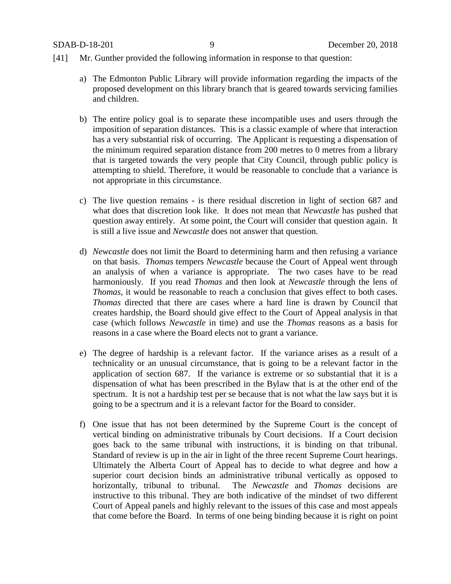### [41] Mr. Gunther provided the following information in response to that question:

- a) The Edmonton Public Library will provide information regarding the impacts of the proposed development on this library branch that is geared towards servicing families and children.
- b) The entire policy goal is to separate these incompatible uses and users through the imposition of separation distances. This is a classic example of where that interaction has a very substantial risk of occurring. The Applicant is requesting a dispensation of the minimum required separation distance from 200 metres to 0 metres from a library that is targeted towards the very people that City Council, through public policy is attempting to shield. Therefore, it would be reasonable to conclude that a variance is not appropriate in this circumstance.
- c) The live question remains is there residual discretion in light of section 687 and what does that discretion look like. It does not mean that *Newcastle* has pushed that question away entirely. At some point, the Court will consider that question again. It is still a live issue and *Newcastle* does not answer that question.
- d) *Newcastle* does not limit the Board to determining harm and then refusing a variance on that basis. *Thomas* tempers *Newcastle* because the Court of Appeal went through an analysis of when a variance is appropriate. The two cases have to be read harmoniously. If you read *Thomas* and then look at *Newcastle* through the lens of *Thomas*, it would be reasonable to reach a conclusion that gives effect to both cases. *Thomas* directed that there are cases where a hard line is drawn by Council that creates hardship, the Board should give effect to the Court of Appeal analysis in that case (which follows *Newcastle* in time) and use the *Thomas* reasons as a basis for reasons in a case where the Board elects not to grant a variance.
- e) The degree of hardship is a relevant factor. If the variance arises as a result of a technicality or an unusual circumstance, that is going to be a relevant factor in the application of section 687. If the variance is extreme or so substantial that it is a dispensation of what has been prescribed in the Bylaw that is at the other end of the spectrum. It is not a hardship test per se because that is not what the law says but it is going to be a spectrum and it is a relevant factor for the Board to consider.
- f) One issue that has not been determined by the Supreme Court is the concept of vertical binding on administrative tribunals by Court decisions. If a Court decision goes back to the same tribunal with instructions, it is binding on that tribunal. Standard of review is up in the air in light of the three recent Supreme Court hearings. Ultimately the Alberta Court of Appeal has to decide to what degree and how a superior court decision binds an administrative tribunal vertically as opposed to horizontally, tribunal to tribunal. The *Newcastle* and *Thomas* decisions are instructive to this tribunal. They are both indicative of the mindset of two different Court of Appeal panels and highly relevant to the issues of this case and most appeals that come before the Board. In terms of one being binding because it is right on point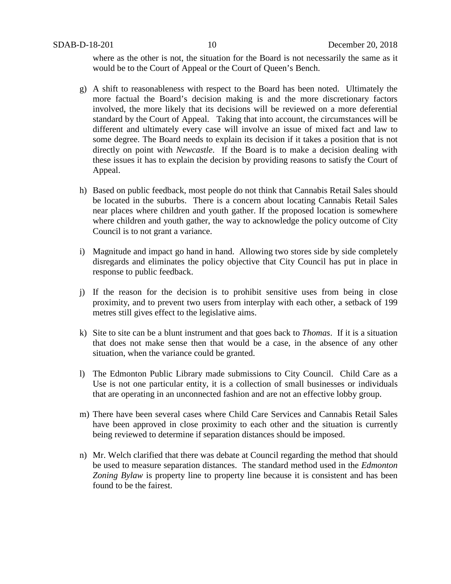where as the other is not, the situation for the Board is not necessarily the same as it would be to the Court of Appeal or the Court of Queen's Bench.

- g) A shift to reasonableness with respect to the Board has been noted. Ultimately the more factual the Board's decision making is and the more discretionary factors involved, the more likely that its decisions will be reviewed on a more deferential standard by the Court of Appeal. Taking that into account, the circumstances will be different and ultimately every case will involve an issue of mixed fact and law to some degree. The Board needs to explain its decision if it takes a position that is not directly on point with *Newcastle*. If the Board is to make a decision dealing with these issues it has to explain the decision by providing reasons to satisfy the Court of Appeal.
- h) Based on public feedback, most people do not think that Cannabis Retail Sales should be located in the suburbs. There is a concern about locating Cannabis Retail Sales near places where children and youth gather. If the proposed location is somewhere where children and youth gather, the way to acknowledge the policy outcome of City Council is to not grant a variance.
- i) Magnitude and impact go hand in hand. Allowing two stores side by side completely disregards and eliminates the policy objective that City Council has put in place in response to public feedback.
- j) If the reason for the decision is to prohibit sensitive uses from being in close proximity, and to prevent two users from interplay with each other, a setback of 199 metres still gives effect to the legislative aims.
- k) Site to site can be a blunt instrument and that goes back to *Thomas*. If it is a situation that does not make sense then that would be a case, in the absence of any other situation, when the variance could be granted.
- l) The Edmonton Public Library made submissions to City Council. Child Care as a Use is not one particular entity, it is a collection of small businesses or individuals that are operating in an unconnected fashion and are not an effective lobby group.
- m) There have been several cases where Child Care Services and Cannabis Retail Sales have been approved in close proximity to each other and the situation is currently being reviewed to determine if separation distances should be imposed.
- n) Mr. Welch clarified that there was debate at Council regarding the method that should be used to measure separation distances. The standard method used in the *Edmonton Zoning Bylaw* is property line to property line because it is consistent and has been found to be the fairest.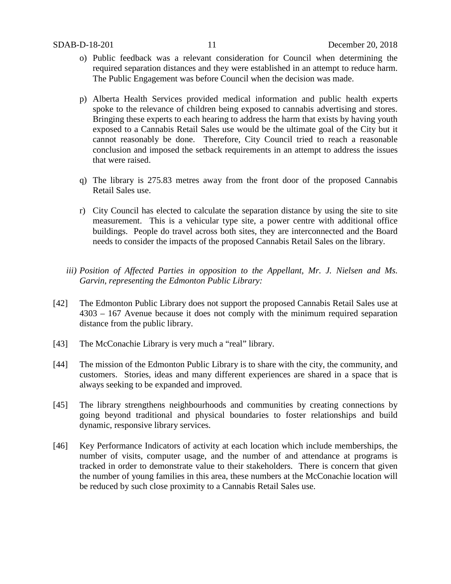- o) Public feedback was a relevant consideration for Council when determining the required separation distances and they were established in an attempt to reduce harm. The Public Engagement was before Council when the decision was made.
- p) Alberta Health Services provided medical information and public health experts spoke to the relevance of children being exposed to cannabis advertising and stores. Bringing these experts to each hearing to address the harm that exists by having youth exposed to a Cannabis Retail Sales use would be the ultimate goal of the City but it cannot reasonably be done. Therefore, City Council tried to reach a reasonable conclusion and imposed the setback requirements in an attempt to address the issues that were raised.
- q) The library is 275.83 metres away from the front door of the proposed Cannabis Retail Sales use.
- r) City Council has elected to calculate the separation distance by using the site to site measurement. This is a vehicular type site, a power centre with additional office buildings. People do travel across both sites, they are interconnected and the Board needs to consider the impacts of the proposed Cannabis Retail Sales on the library.
- *iii) Position of Affected Parties in opposition to the Appellant, Mr. J. Nielsen and Ms. Garvin, representing the Edmonton Public Library:*
- [42] The Edmonton Public Library does not support the proposed Cannabis Retail Sales use at 4303 – 167 Avenue because it does not comply with the minimum required separation distance from the public library.
- [43] The McConachie Library is very much a "real" library.
- [44] The mission of the Edmonton Public Library is to share with the city, the community, and customers. Stories, ideas and many different experiences are shared in a space that is always seeking to be expanded and improved.
- [45] The library strengthens neighbourhoods and communities by creating connections by going beyond traditional and physical boundaries to foster relationships and build dynamic, responsive library services.
- [46] Key Performance Indicators of activity at each location which include memberships, the number of visits, computer usage, and the number of and attendance at programs is tracked in order to demonstrate value to their stakeholders. There is concern that given the number of young families in this area, these numbers at the McConachie location will be reduced by such close proximity to a Cannabis Retail Sales use.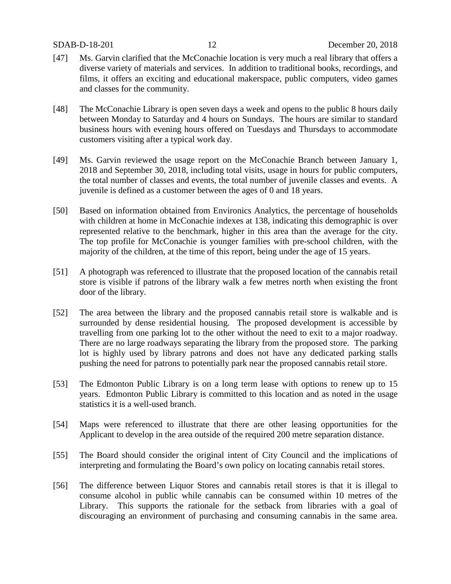- [47] Ms. Garvin clarified that the McConachie location is very much a real library that offers a diverse variety of materials and services. In addition to traditional books, recordings, and films, it offers an exciting and educational makerspace, public computers, video games and classes for the community.
- [48] The McConachie Library is open seven days a week and opens to the public 8 hours daily between Monday to Saturday and 4 hours on Sundays. The hours are similar to standard business hours with evening hours offered on Tuesdays and Thursdays to accommodate customers visiting after a typical work day.
- [49] Ms. Garvin reviewed the usage report on the McConachie Branch between January 1, 2018 and September 30, 2018, including total visits, usage in hours for public computers, the total number of classes and events, the total number of juvenile classes and events. A juvenile is defined as a customer between the ages of 0 and 18 years.
- [50] Based on information obtained from Environics Analytics, the percentage of households with children at home in McConachie indexes at 138, indicating this demographic is over represented relative to the benchmark, higher in this area than the average for the city. The top profile for McConachie is younger families with pre-school children, with the majority of the children, at the time of this report, being under the age of 15 years.
- [51] A photograph was referenced to illustrate that the proposed location of the cannabis retail store is visible if patrons of the library walk a few metres north when existing the front door of the library.
- [52] The area between the library and the proposed cannabis retail store is walkable and is surrounded by dense residential housing. The proposed development is accessible by travelling from one parking lot to the other without the need to exit to a major roadway. There are no large roadways separating the library from the proposed store. The parking lot is highly used by library patrons and does not have any dedicated parking stalls pushing the need for patrons to potentially park near the proposed cannabis retail store.
- [53] The Edmonton Public Library is on a long term lease with options to renew up to 15 years. Edmonton Public Library is committed to this location and as noted in the usage statistics it is a well-used branch.
- [54] Maps were referenced to illustrate that there are other leasing opportunities for the Applicant to develop in the area outside of the required 200 metre separation distance.
- [55] The Board should consider the original intent of City Council and the implications of interpreting and formulating the Board's own policy on locating cannabis retail stores.
- [56] The difference between Liquor Stores and cannabis retail stores is that it is illegal to consume alcohol in public while cannabis can be consumed within 10 metres of the Library. This supports the rationale for the setback from libraries with a goal of discouraging an environment of purchasing and consuming cannabis in the same area.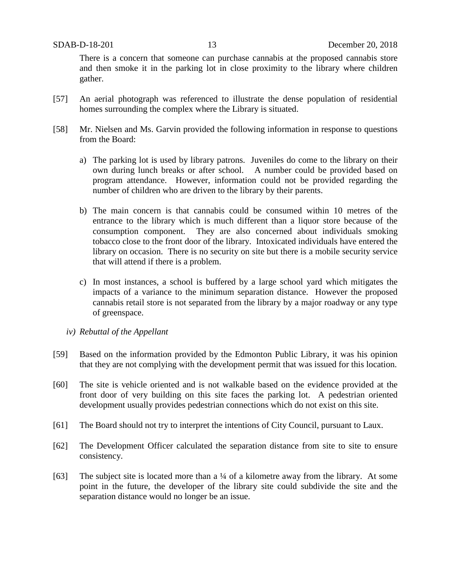There is a concern that someone can purchase cannabis at the proposed cannabis store and then smoke it in the parking lot in close proximity to the library where children gather.

- [57] An aerial photograph was referenced to illustrate the dense population of residential homes surrounding the complex where the Library is situated.
- [58] Mr. Nielsen and Ms. Garvin provided the following information in response to questions from the Board:
	- a) The parking lot is used by library patrons. Juveniles do come to the library on their own during lunch breaks or after school. A number could be provided based on program attendance. However, information could not be provided regarding the number of children who are driven to the library by their parents.
	- b) The main concern is that cannabis could be consumed within 10 metres of the entrance to the library which is much different than a liquor store because of the consumption component. They are also concerned about individuals smoking tobacco close to the front door of the library. Intoxicated individuals have entered the library on occasion. There is no security on site but there is a mobile security service that will attend if there is a problem.
	- c) In most instances, a school is buffered by a large school yard which mitigates the impacts of a variance to the minimum separation distance. However the proposed cannabis retail store is not separated from the library by a major roadway or any type of greenspace.
	- *iv) Rebuttal of the Appellant*
- [59] Based on the information provided by the Edmonton Public Library, it was his opinion that they are not complying with the development permit that was issued for this location.
- [60] The site is vehicle oriented and is not walkable based on the evidence provided at the front door of very building on this site faces the parking lot. A pedestrian oriented development usually provides pedestrian connections which do not exist on this site.
- [61] The Board should not try to interpret the intentions of City Council, pursuant to Laux.
- [62] The Development Officer calculated the separation distance from site to site to ensure consistency.
- [63] The subject site is located more than a ¼ of a kilometre away from the library. At some point in the future, the developer of the library site could subdivide the site and the separation distance would no longer be an issue.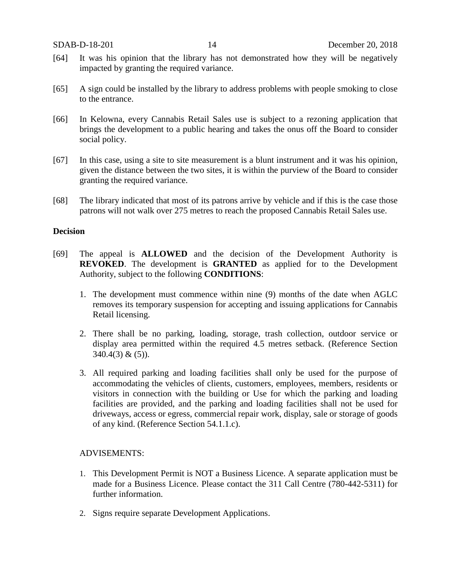- [64] It was his opinion that the library has not demonstrated how they will be negatively impacted by granting the required variance.
- [65] A sign could be installed by the library to address problems with people smoking to close to the entrance.
- [66] In Kelowna, every Cannabis Retail Sales use is subject to a rezoning application that brings the development to a public hearing and takes the onus off the Board to consider social policy.
- [67] In this case, using a site to site measurement is a blunt instrument and it was his opinion, given the distance between the two sites, it is within the purview of the Board to consider granting the required variance.
- [68] The library indicated that most of its patrons arrive by vehicle and if this is the case those patrons will not walk over 275 metres to reach the proposed Cannabis Retail Sales use.

### **Decision**

- [69] The appeal is **ALLOWED** and the decision of the Development Authority is **REVOKED**. The development is **GRANTED** as applied for to the Development Authority, subject to the following **CONDITIONS**:
	- 1. The development must commence within nine (9) months of the date when AGLC removes its temporary suspension for accepting and issuing applications for Cannabis Retail licensing.
	- 2. There shall be no parking, loading, storage, trash collection, outdoor service or display area permitted within the required 4.5 metres setback. (Reference Section  $340.4(3)$  &  $(5)$ ).
	- 3. All required parking and loading facilities shall only be used for the purpose of accommodating the vehicles of clients, customers, employees, members, residents or visitors in connection with the building or Use for which the parking and loading facilities are provided, and the parking and loading facilities shall not be used for driveways, access or egress, commercial repair work, display, sale or storage of goods of any kind. (Reference Section 54.1.1.c).

### ADVISEMENTS:

- 1. This Development Permit is NOT a Business Licence. A separate application must be made for a Business Licence. Please contact the 311 Call Centre (780-442-5311) for further information.
- 2. Signs require separate Development Applications.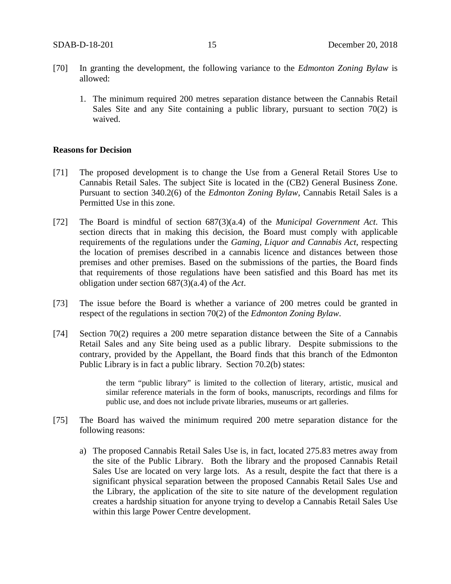- [70] In granting the development, the following variance to the *Edmonton Zoning Bylaw* is allowed:
	- 1. The minimum required 200 metres separation distance between the Cannabis Retail Sales Site and any Site containing a public library, pursuant to section 70(2) is waived.

### **Reasons for Decision**

- [71] The proposed development is to change the Use from a General Retail Stores Use to Cannabis Retail Sales. The subject Site is located in the (CB2) General Business Zone. Pursuant to section 340.2(6) of the *Edmonton Zoning Bylaw*, Cannabis Retail Sales is a Permitted Use in this zone.
- [72] The Board is mindful of section 687(3)(a.4) of the *Municipal Government Act*. This section directs that in making this decision, the Board must comply with applicable requirements of the regulations under the *Gaming, Liquor and Cannabis Act*, respecting the location of premises described in a cannabis licence and distances between those premises and other premises. Based on the submissions of the parties, the Board finds that requirements of those regulations have been satisfied and this Board has met its obligation under section 687(3)(a.4) of the *Act*.
- [73] The issue before the Board is whether a variance of 200 metres could be granted in respect of the regulations in section 70(2) of the *Edmonton Zoning Bylaw*.
- [74] Section 70(2) requires a 200 metre separation distance between the Site of a Cannabis Retail Sales and any Site being used as a public library. Despite submissions to the contrary, provided by the Appellant, the Board finds that this branch of the Edmonton Public Library is in fact a public library. Section 70.2(b) states:

the term "public library" is limited to the collection of literary, artistic, musical and similar reference materials in the form of books, manuscripts, recordings and films for public use, and does not include private libraries, museums or art galleries.

- [75] The Board has waived the minimum required 200 metre separation distance for the following reasons:
	- a) The proposed Cannabis Retail Sales Use is, in fact, located 275.83 metres away from the site of the Public Library. Both the library and the proposed Cannabis Retail Sales Use are located on very large lots. As a result, despite the fact that there is a significant physical separation between the proposed Cannabis Retail Sales Use and the Library, the application of the site to site nature of the development regulation creates a hardship situation for anyone trying to develop a Cannabis Retail Sales Use within this large Power Centre development.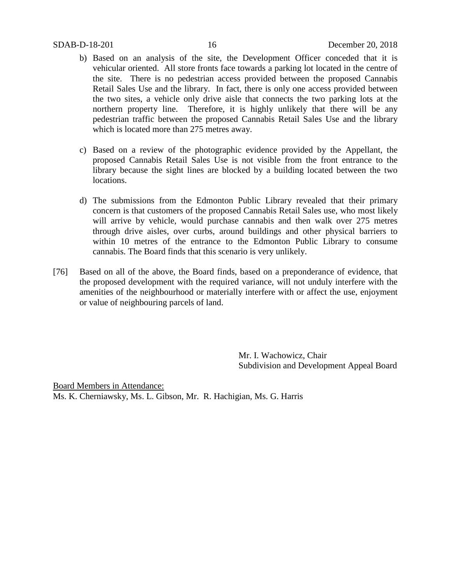- b) Based on an analysis of the site, the Development Officer conceded that it is vehicular oriented. All store fronts face towards a parking lot located in the centre of the site. There is no pedestrian access provided between the proposed Cannabis Retail Sales Use and the library. In fact, there is only one access provided between the two sites, a vehicle only drive aisle that connects the two parking lots at the northern property line. Therefore, it is highly unlikely that there will be any pedestrian traffic between the proposed Cannabis Retail Sales Use and the library which is located more than 275 metres away.
- c) Based on a review of the photographic evidence provided by the Appellant, the proposed Cannabis Retail Sales Use is not visible from the front entrance to the library because the sight lines are blocked by a building located between the two locations.
- d) The submissions from the Edmonton Public Library revealed that their primary concern is that customers of the proposed Cannabis Retail Sales use, who most likely will arrive by vehicle, would purchase cannabis and then walk over 275 metres through drive aisles, over curbs, around buildings and other physical barriers to within 10 metres of the entrance to the Edmonton Public Library to consume cannabis. The Board finds that this scenario is very unlikely.
- [76] Based on all of the above, the Board finds, based on a preponderance of evidence, that the proposed development with the required variance, will not unduly interfere with the amenities of the neighbourhood or materially interfere with or affect the use, enjoyment or value of neighbouring parcels of land.

Mr. I. Wachowicz, Chair Subdivision and Development Appeal Board

Board Members in Attendance: Ms. K. Cherniawsky, Ms. L. Gibson, Mr. R. Hachigian, Ms. G. Harris